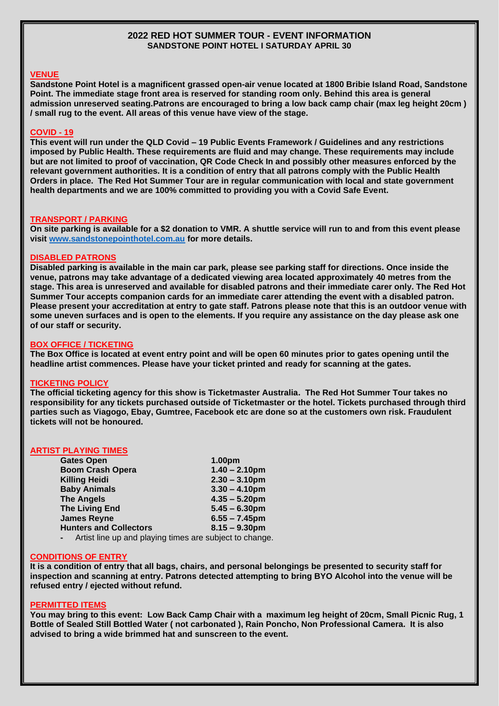## **2022 RED HOT SUMMER TOUR - EVENT INFORMATION SANDSTONE POINT HOTEL I SATURDAY APRIL 30**

#### **VENUE**

**Sandstone Point Hotel is a magnificent grassed open-air venue located at 1800 Bribie Island Road, Sandstone Point. The immediate stage front area is reserved for standing room only. Behind this area is general admission unreserved seating.Patrons are encouraged to bring a low back camp chair (max leg height 20cm ) / small rug to the event. All areas of this venue have view of the stage.**

# **COVID - 19**

**This event will run under the QLD Covid – 19 Public Events Framework / Guidelines and any restrictions imposed by Public Health. These requirements are fluid and may change. These requirements may include but are not limited to proof of vaccination, QR Code Check In and possibly other measures enforced by the relevant government authorities. It is a condition of entry that all patrons comply with the Public Health Orders in place. The Red Hot Summer Tour are in regular communication with local and state government health departments and we are 100% committed to providing you with a Covid Safe Event.** 

#### **TRANSPORT / PARKING**

**On site parking is available for a \$2 donation to VMR. A shuttle service will run to and from this event please visit [www.sandstonepointhotel.com.au](http://www.sandstonepointhotel.com.au/) for more details.**

## **DISABLED PATRONS**

**Disabled parking is available in the main car park, please see parking staff for directions. Once inside the venue, patrons may take advantage of a dedicated viewing area located approximately 40 metres from the stage. This area is unreserved and available for disabled patrons and their immediate carer only. The Red Hot Summer Tour accepts companion cards for an immediate carer attending the event with a disabled patron. Please present your accreditation at entry to gate staff. Patrons please note that this is an outdoor venue with some uneven surfaces and is open to the elements. If you require any assistance on the day please ask one of our staff or security.**

#### **BOX OFFICE / TICKETING**

**The Box Office is located at event entry point and will be open 60 minutes prior to gates opening until the headline artist commences. Please have your ticket printed and ready for scanning at the gates.** 

#### **TICKETING POLICY**

**The official ticketing agency for this show is Ticketmaster Australia. The Red Hot Summer Tour takes no responsibility for any tickets purchased outside of Ticketmaster or the hotel. Tickets purchased through third parties such as Viagogo, Ebay, Gumtree, Facebook etc are done so at the customers own risk. Fraudulent tickets will not be honoured.**

#### **ARTIST PLAYING TIMES**

| <b>Gates Open</b>             | 1.00pm           |
|-------------------------------|------------------|
| <b>Boom Crash Opera</b>       | $1.40 - 2.10$ pm |
| <b>Killing Heidi</b>          | $2.30 - 3.10$ pm |
| <b>Baby Animals</b>           | $3.30 - 4.10$ pm |
| <b>The Angels</b>             | $4.35 - 5.20$ pm |
| <b>The Living End</b>         | $5.45 - 6.30$ pm |
| <b>James Reyne</b>            | $6.55 - 7.45$ pm |
| <b>Hunters and Collectors</b> | $8.15 - 9.30$ pm |
|                               |                  |

**-** Artist line up and playing times are subject to change.

#### **CONDITIONS OF ENTRY**

**It is a condition of entry that all bags, chairs, and personal belongings be presented to security staff for inspection and scanning at entry. Patrons detected attempting to bring BYO Alcohol into the venue will be refused entry / ejected without refund.** 

#### **PERMITTED ITEMS**

**You may bring to this event: Low Back Camp Chair with a maximum leg height of 20cm, Small Picnic Rug, 1 Bottle of Sealed Still Bottled Water ( not carbonated ), Rain Poncho, Non Professional Camera. It is also advised to bring a wide brimmed hat and sunscreen to the event.**